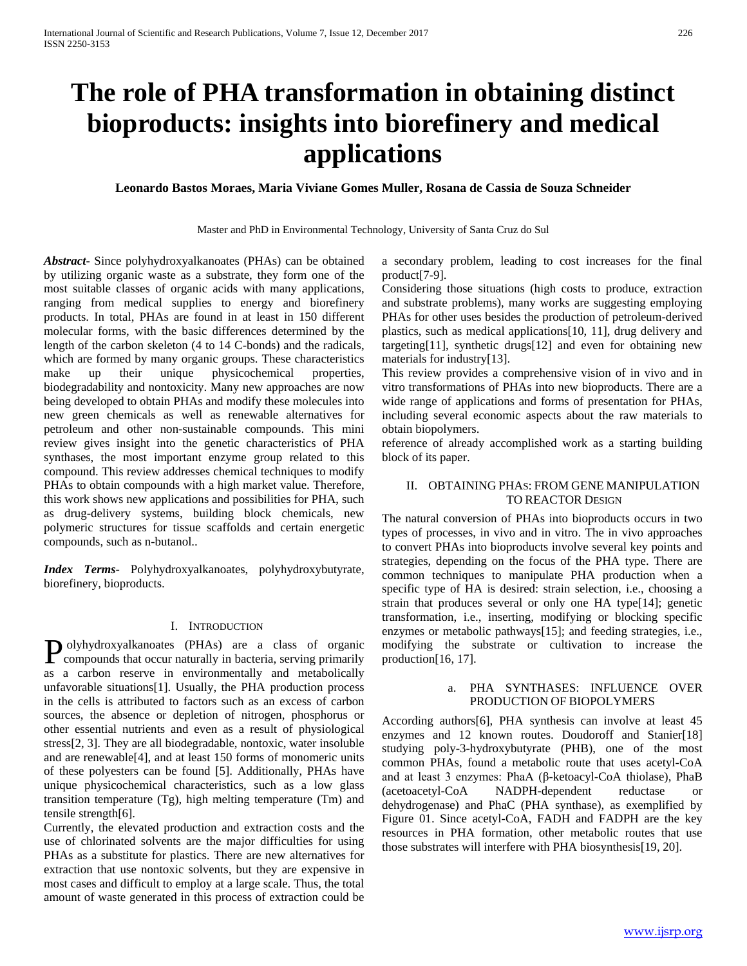# **The role of PHA transformation in obtaining distinct bioproducts: insights into biorefinery and medical applications**

**Leonardo Bastos Moraes, Maria Viviane Gomes Muller, Rosana de Cassia de Souza Schneider**

Master and PhD in Environmental Technology, University of Santa Cruz do Sul

*Abstract***-** Since polyhydroxyalkanoates (PHAs) can be obtained by utilizing organic waste as a substrate, they form one of the most suitable classes of organic acids with many applications, ranging from medical supplies to energy and biorefinery products. In total, PHAs are found in at least in 150 different molecular forms, with the basic differences determined by the length of the carbon skeleton (4 to 14 C-bonds) and the radicals, which are formed by many organic groups. These characteristics make up their unique physicochemical properties, biodegradability and nontoxicity. Many new approaches are now being developed to obtain PHAs and modify these molecules into new green chemicals as well as renewable alternatives for petroleum and other non-sustainable compounds. This mini review gives insight into the genetic characteristics of PHA synthases, the most important enzyme group related to this compound. This review addresses chemical techniques to modify PHAs to obtain compounds with a high market value. Therefore, this work shows new applications and possibilities for PHA, such as drug-delivery systems, building block chemicals, new polymeric structures for tissue scaffolds and certain energetic compounds, such as n-butanol..

*Index Terms*- Polyhydroxyalkanoates, polyhydroxybutyrate, biorefinery, bioproducts.

### I. INTRODUCTION

olyhydroxyalkanoates (PHAs) are a class of organic Polyhydroxyalkanoates (PHAs) are a class of organic compounds that occur naturally in bacteria, serving primarily as a carbon reserve in environmentally and metabolically unfavorable situations[1]. Usually, the PHA production process in the cells is attributed to factors such as an excess of carbon sources, the absence or depletion of nitrogen, phosphorus or other essential nutrients and even as a result of physiological stress[2, 3]. They are all biodegradable, nontoxic, water insoluble and are renewable[4], and at least 150 forms of monomeric units of these polyesters can be found [5]. Additionally, PHAs have unique physicochemical characteristics, such as a low glass transition temperature (Tg), high melting temperature (Tm) and tensile strength[6].

Currently, the elevated production and extraction costs and the use of chlorinated solvents are the major difficulties for using PHAs as a substitute for plastics. There are new alternatives for extraction that use nontoxic solvents, but they are expensive in most cases and difficult to employ at a large scale. Thus, the total amount of waste generated in this process of extraction could be

a secondary problem, leading to cost increases for the final product[7-9].

Considering those situations (high costs to produce, extraction and substrate problems), many works are suggesting employing PHAs for other uses besides the production of petroleum-derived plastics, such as medical applications[10, 11], drug delivery and targeting[11], synthetic drugs[12] and even for obtaining new materials for industry[13].

This review provides a comprehensive vision of in vivo and in vitro transformations of PHAs into new bioproducts. There are a wide range of applications and forms of presentation for PHAs, including several economic aspects about the raw materials to obtain biopolymers.

reference of already accomplished work as a starting building block of its paper.

## II. OBTAINING PHAS: FROM GENE MANIPULATION TO REACTOR DESIGN

The natural conversion of PHAs into bioproducts occurs in two types of processes, in vivo and in vitro. The in vivo approaches to convert PHAs into bioproducts involve several key points and strategies, depending on the focus of the PHA type. There are common techniques to manipulate PHA production when a specific type of HA is desired: strain selection, i.e., choosing a strain that produces several or only one HA type[14]; genetic transformation, i.e., inserting, modifying or blocking specific enzymes or metabolic pathways[15]; and feeding strategies, i.e., modifying the substrate or cultivation to increase the production[16, 17].

## a. PHA SYNTHASES: INFLUENCE OVER PRODUCTION OF BIOPOLYMERS

According authors[6], PHA synthesis can involve at least 45 enzymes and 12 known routes. Doudoroff and Stanier[18] studying poly-3-hydroxybutyrate (PHB), one of the most common PHAs, found a metabolic route that uses acetyl-CoA and at least 3 enzymes: PhaA (β-ketoacyl-CoA thiolase), PhaB (acetoacetyl-CoA NADPH-dependent reductase dehydrogenase) and PhaC (PHA synthase), as exemplified by Figure 01. Since acetyl-CoA, FADH and FADPH are the key resources in PHA formation, other metabolic routes that use those substrates will interfere with PHA biosynthesis[19, 20].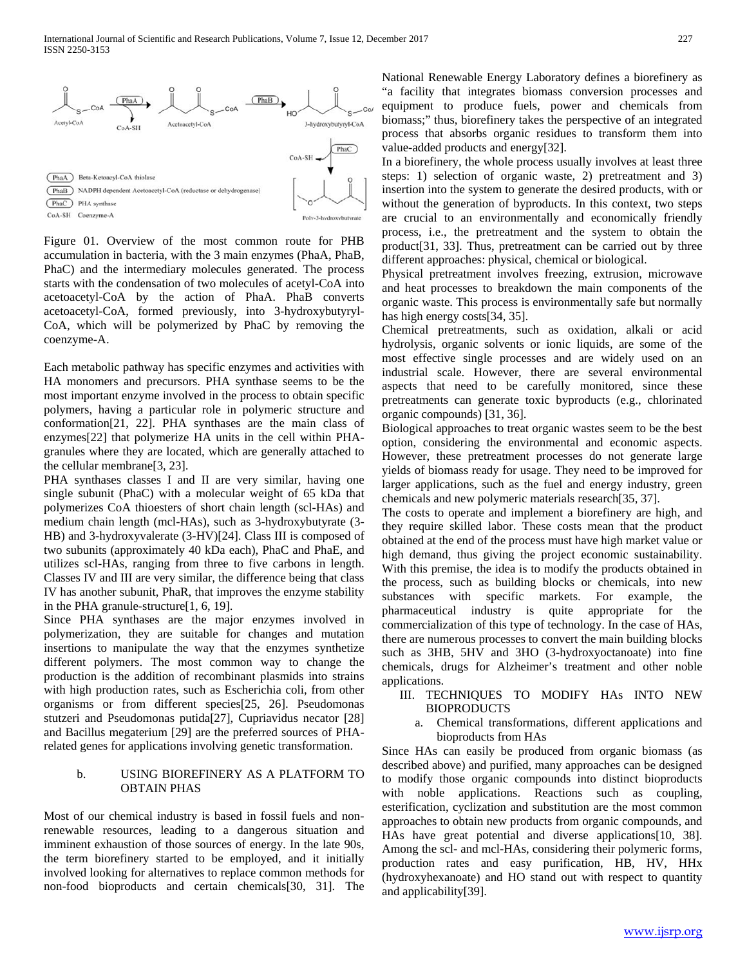

Figure 01. Overview of the most common route for PHB accumulation in bacteria, with the 3 main enzymes (PhaA, PhaB, PhaC) and the intermediary molecules generated. The process starts with the condensation of two molecules of acetyl-CoA into acetoacetyl-CoA by the action of PhaA. PhaB converts acetoacetyl-CoA, formed previously, into 3-hydroxybutyryl-CoA, which will be polymerized by PhaC by removing the coenzyme-A.

Each metabolic pathway has specific enzymes and activities with HA monomers and precursors. PHA synthase seems to be the most important enzyme involved in the process to obtain specific polymers, having a particular role in polymeric structure and conformation[21, 22]. PHA synthases are the main class of enzymes[22] that polymerize HA units in the cell within PHAgranules where they are located, which are generally attached to the cellular membrane[3, 23].

PHA synthases classes I and II are very similar, having one single subunit (PhaC) with a molecular weight of 65 kDa that polymerizes CoA thioesters of short chain length (scl-HAs) and medium chain length (mcl-HAs), such as 3-hydroxybutyrate (3- HB) and 3-hydroxyvalerate (3-HV)[24]. Class III is composed of two subunits (approximately 40 kDa each), PhaC and PhaE, and utilizes scl-HAs, ranging from three to five carbons in length. Classes IV and III are very similar, the difference being that class IV has another subunit, PhaR, that improves the enzyme stability in the PHA granule-structure[1, 6, 19].

Since PHA synthases are the major enzymes involved in polymerization, they are suitable for changes and mutation insertions to manipulate the way that the enzymes synthetize different polymers. The most common way to change the production is the addition of recombinant plasmids into strains with high production rates, such as Escherichia coli, from other organisms or from different species[25, 26]. Pseudomonas stutzeri and Pseudomonas putida[27], Cupriavidus necator [28] and Bacillus megaterium [29] are the preferred sources of PHArelated genes for applications involving genetic transformation.

# b. USING BIOREFINERY AS A PLATFORM TO OBTAIN PHAS

Most of our chemical industry is based in fossil fuels and nonrenewable resources, leading to a dangerous situation and imminent exhaustion of those sources of energy. In the late 90s, the term biorefinery started to be employed, and it initially involved looking for alternatives to replace common methods for non-food bioproducts and certain chemicals[30, 31]. The National Renewable Energy Laboratory defines a biorefinery as "a facility that integrates biomass conversion processes and equipment to produce fuels, power and chemicals from biomass;" thus, biorefinery takes the perspective of an integrated process that absorbs organic residues to transform them into value-added products and energy[32].

In a biorefinery, the whole process usually involves at least three steps: 1) selection of organic waste, 2) pretreatment and 3) insertion into the system to generate the desired products, with or without the generation of byproducts. In this context, two steps are crucial to an environmentally and economically friendly process, i.e., the pretreatment and the system to obtain the product[31, 33]. Thus, pretreatment can be carried out by three different approaches: physical, chemical or biological.

Physical pretreatment involves freezing, extrusion, microwave and heat processes to breakdown the main components of the organic waste. This process is environmentally safe but normally has high energy costs[34, 35].

Chemical pretreatments, such as oxidation, alkali or acid hydrolysis, organic solvents or ionic liquids, are some of the most effective single processes and are widely used on an industrial scale. However, there are several environmental aspects that need to be carefully monitored, since these pretreatments can generate toxic byproducts (e.g., chlorinated organic compounds) [31, 36].

Biological approaches to treat organic wastes seem to be the best option, considering the environmental and economic aspects. However, these pretreatment processes do not generate large yields of biomass ready for usage. They need to be improved for larger applications, such as the fuel and energy industry, green chemicals and new polymeric materials research[35, 37].

The costs to operate and implement a biorefinery are high, and they require skilled labor. These costs mean that the product obtained at the end of the process must have high market value or high demand, thus giving the project economic sustainability. With this premise, the idea is to modify the products obtained in the process, such as building blocks or chemicals, into new substances with specific markets. For example, the pharmaceutical industry is quite appropriate for the commercialization of this type of technology. In the case of HAs, there are numerous processes to convert the main building blocks such as 3HB, 5HV and 3HO (3-hydroxyoctanoate) into fine chemicals, drugs for Alzheimer's treatment and other noble applications.

# III. TECHNIQUES TO MODIFY HAs INTO NEW **BIOPRODUCTS**

a. Chemical transformations, different applications and bioproducts from HAs

Since HAs can easily be produced from organic biomass (as described above) and purified, many approaches can be designed to modify those organic compounds into distinct bioproducts with noble applications. Reactions such as coupling, esterification, cyclization and substitution are the most common approaches to obtain new products from organic compounds, and HAs have great potential and diverse applications[10, 38]. Among the scl- and mcl-HAs, considering their polymeric forms, production rates and easy purification, HB, HV, HHx (hydroxyhexanoate) and HO stand out with respect to quantity and applicability[39].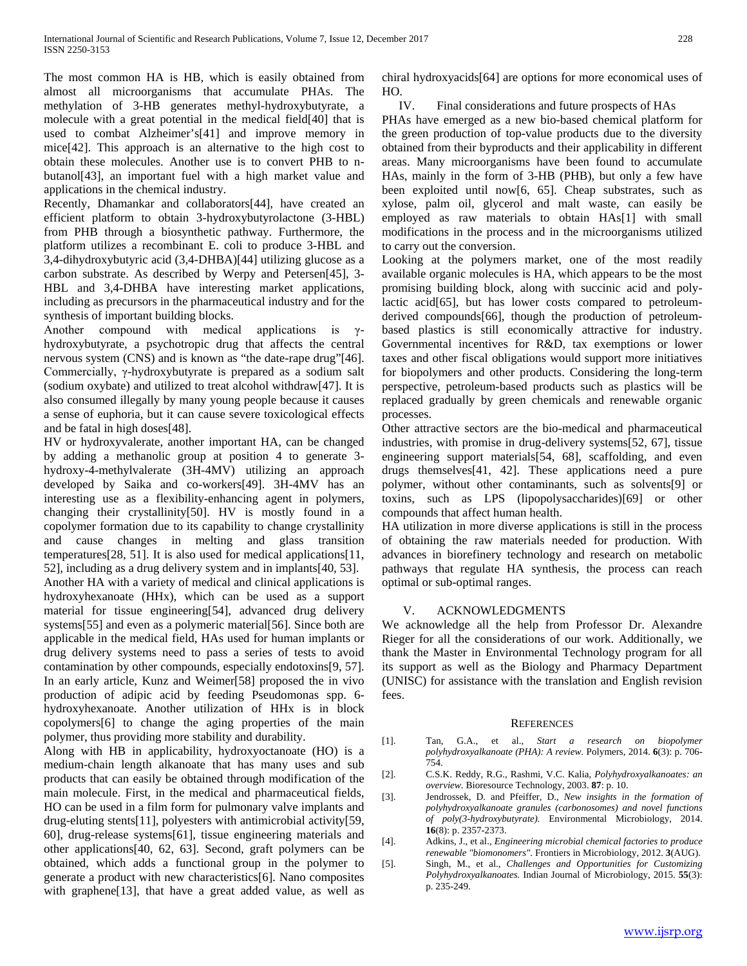The most common HA is HB, which is easily obtained from almost all microorganisms that accumulate PHAs. The methylation of 3-HB generates methyl-hydroxybutyrate, a molecule with a great potential in the medical field[40] that is used to combat Alzheimer's[41] and improve memory in mice[42]. This approach is an alternative to the high cost to obtain these molecules. Another use is to convert PHB to nbutanol[43], an important fuel with a high market value and applications in the chemical industry.

Recently, Dhamankar and collaborators[44], have created an efficient platform to obtain 3-hydroxybutyrolactone (3-HBL) from PHB through a biosynthetic pathway. Furthermore, the platform utilizes a recombinant E. coli to produce 3-HBL and 3,4-dihydroxybutyric acid (3,4-DHBA)[44] utilizing glucose as a carbon substrate. As described by Werpy and Petersen[45], 3- HBL and 3,4-DHBA have interesting market applications, including as precursors in the pharmaceutical industry and for the synthesis of important building blocks.

Another compound with medical applications is  $\gamma$ hydroxybutyrate, a psychotropic drug that affects the central nervous system (CNS) and is known as "the date-rape drug"[46]. Commercially, γ-hydroxybutyrate is prepared as a sodium salt (sodium oxybate) and utilized to treat alcohol withdraw[47]. It is also consumed illegally by many young people because it causes a sense of euphoria, but it can cause severe toxicological effects and be fatal in high doses[48].

HV or hydroxyvalerate, another important HA, can be changed by adding a methanolic group at position 4 to generate 3 hydroxy-4-methylvalerate (3H-4MV) utilizing an approach developed by Saika and co-workers[49]. 3H-4MV has an interesting use as a flexibility-enhancing agent in polymers, changing their crystallinity[50]. HV is mostly found in a copolymer formation due to its capability to change crystallinity and cause changes in melting and glass transition temperatures[28, 51]. It is also used for medical applications[11, 52], including as a drug delivery system and in implants[40, 53]. Another HA with a variety of medical and clinical applications is hydroxyhexanoate (HHx), which can be used as a support material for tissue engineering[54], advanced drug delivery systems[55] and even as a polymeric material[56]. Since both are applicable in the medical field, HAs used for human implants or drug delivery systems need to pass a series of tests to avoid contamination by other compounds, especially endotoxins[9, 57]. In an early article, Kunz and Weimer[58] proposed the in vivo production of adipic acid by feeding Pseudomonas spp. 6 hydroxyhexanoate. Another utilization of HHx is in block copolymers[6] to change the aging properties of the main polymer, thus providing more stability and durability.

Along with HB in applicability, hydroxyoctanoate (HO) is a medium-chain length alkanoate that has many uses and sub products that can easily be obtained through modification of the main molecule. First, in the medical and pharmaceutical fields, HO can be used in a film form for pulmonary valve implants and drug-eluting stents[11], polyesters with antimicrobial activity[59, 60], drug-release systems[61], tissue engineering materials and other applications[40, 62, 63]. Second, graft polymers can be obtained, which adds a functional group in the polymer to generate a product with new characteristics[6]. Nano composites with graphene<sup>[13]</sup>, that have a great added value, as well as

chiral hydroxyacids[64] are options for more economical uses of HO.

IV. Final considerations and future prospects of HAs

PHAs have emerged as a new bio-based chemical platform for the green production of top-value products due to the diversity obtained from their byproducts and their applicability in different areas. Many microorganisms have been found to accumulate HAs, mainly in the form of 3-HB (PHB), but only a few have been exploited until now[6, 65]. Cheap substrates, such as xylose, palm oil, glycerol and malt waste, can easily be employed as raw materials to obtain HAs[1] with small modifications in the process and in the microorganisms utilized to carry out the conversion.

Looking at the polymers market, one of the most readily available organic molecules is HA, which appears to be the most promising building block, along with succinic acid and polylactic acid[65], but has lower costs compared to petroleumderived compounds[66], though the production of petroleumbased plastics is still economically attractive for industry. Governmental incentives for R&D, tax exemptions or lower taxes and other fiscal obligations would support more initiatives for biopolymers and other products. Considering the long-term perspective, petroleum-based products such as plastics will be replaced gradually by green chemicals and renewable organic processes.

Other attractive sectors are the bio-medical and pharmaceutical industries, with promise in drug-delivery systems[52, 67], tissue engineering support materials[54, 68], scaffolding, and even drugs themselves[41, 42]. These applications need a pure polymer, without other contaminants, such as solvents[9] or toxins, such as LPS (lipopolysaccharides)[69] or other compounds that affect human health.

HA utilization in more diverse applications is still in the process of obtaining the raw materials needed for production. With advances in biorefinery technology and research on metabolic pathways that regulate HA synthesis, the process can reach optimal or sub-optimal ranges.

## V. ACKNOWLEDGMENTS

We acknowledge all the help from Professor Dr. Alexandre Rieger for all the considerations of our work. Additionally, we thank the Master in Environmental Technology program for all its support as well as the Biology and Pharmacy Department (UNISC) for assistance with the translation and English revision fees.

### **REFERENCES**

- [1]. Tan, G.A., et al., *Start a research on biopolymer polyhydroxyalkanoate (PHA): A review.* Polymers, 2014. **6**(3): p. 706- 754.
- [2]. C.S.K. Reddy, R.G., Rashmi, V.C. Kalia, *Polyhydroxyalkanoates: an overview.* Bioresource Technology, 2003. **87**: p. 10.
- [3]. Jendrossek, D. and Pfeiffer, D., *New insights in the formation of polyhydroxyalkanoate granules (carbonosomes) and novel functions of poly(3-hydroxybutyrate).* Environmental Microbiology, 2014. **16**(8): p. 2357-2373.
- [4]. Adkins, J., et al., *Engineering microbial chemical factories to produce renewable "biomonomers".* Frontiers in Microbiology, 2012. **3**(AUG).
- [5]. Singh, M., et al., *Challenges and Opportunities for Customizing Polyhydroxyalkanoates.* Indian Journal of Microbiology, 2015. **55**(3): p. 235-249.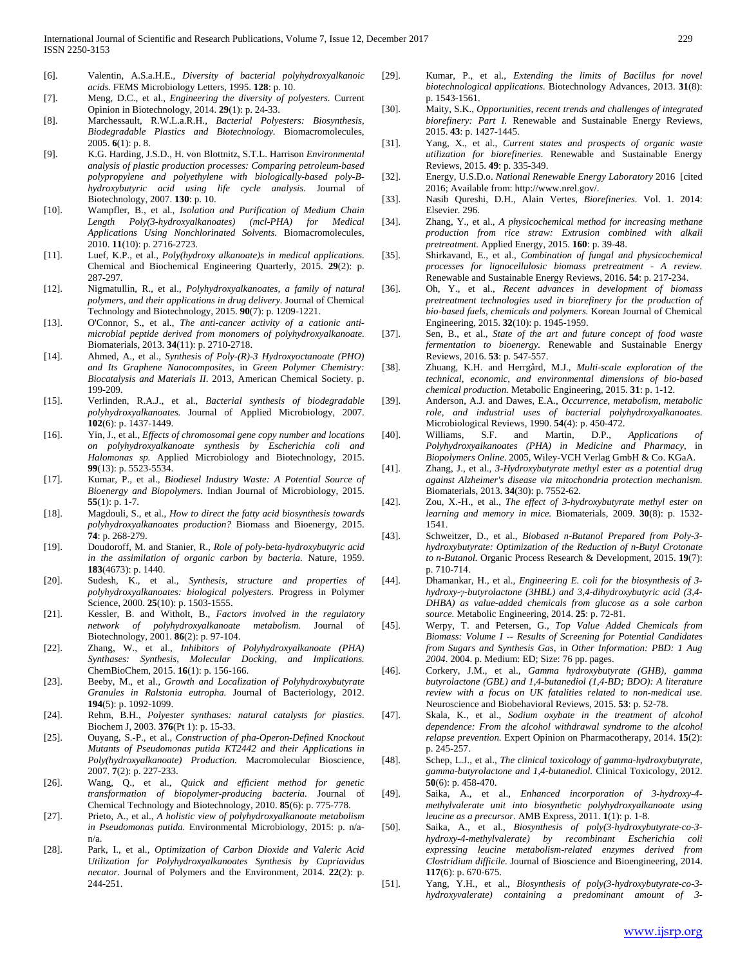- [6]. Valentin, A.S.a.H.E., *Diversity of bacterial polyhydroxyalkanoic acids.* FEMS Microbiology Letters, 1995. **128**: p. 10.
- [7]. Meng, D.C., et al., *Engineering the diversity of polyesters.* Current Opinion in Biotechnology, 2014. **29**(1): p. 24-33.
- [8]. Marchessault, R.W.L.a.R.H., *Bacterial Polyesters: Biosynthesis, Biodegradable Plastics and Biotechnology.* Biomacromolecules, 2005. **6**(1): p. 8.
- [9]. K.G. Harding, J.S.D., H. von Blottnitz, S.T.L. Harrison *Environmental analysis of plastic production processes: Comparing petroleum-based polypropylene and polyethylene with biologically-based poly-Bhydroxybutyric acid using life cycle analysis.* Journal of Biotechnology, 2007. **130**: p. 10.
- [10]. Wampfler, B., et al., *Isolation and Purification of Medium Chain Length Poly(3-hydroxyalkanoates) (mcl-PHA) for Medical Applications Using Nonchlorinated Solvents.* Biomacromolecules, 2010. **11**(10): p. 2716-2723.
- [11]. Luef, K.P., et al., *Poly(hydroxy alkanoate)s in medical applications.* Chemical and Biochemical Engineering Quarterly, 2015. **29**(2): p. 287-297.
- [12]. Nigmatullin, R., et al., *Polyhydroxyalkanoates, a family of natural polymers, and their applications in drug delivery.* Journal of Chemical Technology and Biotechnology, 2015. **90**(7): p. 1209-1221.
- [13]. O'Connor, S., et al., *The anti-cancer activity of a cationic antimicrobial peptide derived from monomers of polyhydroxyalkanoate.* Biomaterials, 2013. **34**(11): p. 2710-2718.
- [14]. Ahmed, A., et al., *Synthesis of Poly-(R)-3 Hydroxyoctanoate (PHO) and Its Graphene Nanocomposites*, in *Green Polymer Chemistry: Biocatalysis and Materials II*. 2013, American Chemical Society. p. 199-209.
- [15]. Verlinden, R.A.J., et al., *Bacterial synthesis of biodegradable polyhydroxyalkanoates.* Journal of Applied Microbiology, 2007. **102**(6): p. 1437-1449.
- [16]. Yin, J., et al., *Effects of chromosomal gene copy number and locations on polyhydroxyalkanoate synthesis by Escherichia coli and Halomonas sp.* Applied Microbiology and Biotechnology, 2015. **99**(13): p. 5523-5534.
- [17]. Kumar, P., et al., *Biodiesel Industry Waste: A Potential Source of Bioenergy and Biopolymers.* Indian Journal of Microbiology, 2015. **55**(1): p. 1-7.
- [18]. Magdouli, S., et al., *How to direct the fatty acid biosynthesis towards polyhydroxyalkanoates production?* Biomass and Bioenergy, 2015. **74**: p. 268-279.
- [19]. Doudoroff, M. and Stanier, R., *Role of poly-beta-hydroxybutyric acid in the assimilation of organic carbon by bacteria.* Nature, 1959. **183**(4673): p. 1440.
- [20]. Sudesh, K., et al., *Synthesis, structure and properties of polyhydroxyalkanoates: biological polyesters.* Progress in Polymer Science, 2000. **25**(10): p. 1503-1555.
- [21]. Kessler, B. and Witholt, B., *Factors involved in the regulatory network of polyhydroxyalkanoate metabolism.* Journal of Biotechnology, 2001. **86**(2): p. 97-104.
- [22]. Zhang, W., et al., *Inhibitors of Polyhydroxyalkanoate (PHA) Synthases: Synthesis, Molecular Docking, and Implications.* ChemBioChem, 2015. **16**(1): p. 156-166.
- [23]. Beeby, M., et al., *Growth and Localization of Polyhydroxybutyrate Granules in Ralstonia eutropha.* Journal of Bacteriology, 2012. **194**(5): p. 1092-1099.
- [24]. Rehm, B.H., *Polyester synthases: natural catalysts for plastics.* Biochem J, 2003. **376**(Pt 1): p. 15-33.
- [25]. Ouyang, S.-P., et al., *Construction of pha-Operon-Defined Knockout Mutants of Pseudomonas putida KT2442 and their Applications in Poly(hydroxyalkanoate) Production.* Macromolecular Bioscience, 2007. **7**(2): p. 227-233.
- [26]. Wang, Q., et al., *Quick and efficient method for genetic transformation of biopolymer-producing bacteria.* Journal of Chemical Technology and Biotechnology, 2010. **85**(6): p. 775-778.
- [27]. Prieto, A., et al., *A holistic view of polyhydroxyalkanoate metabolism in Pseudomonas putida.* Environmental Microbiology, 2015: p. n/an/a.
- [28]. Park, I., et al., *Optimization of Carbon Dioxide and Valeric Acid Utilization for Polyhydroxyalkanoates Synthesis by Cupriavidus necator.* Journal of Polymers and the Environment, 2014. **22**(2): p. 244-251.
- [29]. Kumar, P., et al., *Extending the limits of Bacillus for novel biotechnological applications.* Biotechnology Advances, 2013. **31**(8): p. 1543-1561.
- [30]. Maity, S.K., *Opportunities, recent trends and challenges of integrated biorefinery: Part I.* Renewable and Sustainable Energy Reviews, 2015. **43**: p. 1427-1445.
- [31]. Yang, X., et al., *Current states and prospects of organic waste utilization for biorefineries.* Renewable and Sustainable Energy Reviews, 2015. **49**: p. 335-349.
- [32]. Energy, U.S.D.o. *National Renewable Energy Laboratory* 2016 [cited 2016; Available from: http://www.nrel.gov/.
- [33]. Nasib Qureshi, D.H., Alain Vertes, *Biorefineries*. Vol. 1. 2014: Elsevier. 296.
- [34]. Zhang, Y., et al., *A physicochemical method for increasing methane production from rice straw: Extrusion combined with alkali pretreatment.* Applied Energy, 2015. **160**: p. 39-48.
- [35]. Shirkavand, E., et al., *Combination of fungal and physicochemical processes for lignocellulosic biomass pretreatment - A review.* Renewable and Sustainable Energy Reviews, 2016. **54**: p. 217-234.
- [36]. Oh, Y., et al., *Recent advances in development of biomass pretreatment technologies used in biorefinery for the production of bio-based fuels, chemicals and polymers.* Korean Journal of Chemical Engineering, 2015. **32**(10): p. 1945-1959.
- [37]. Sen, B., et al., *State of the art and future concept of food waste fermentation to bioenergy.* Renewable and Sustainable Energy Reviews, 2016. **53**: p. 547-557.
- [38]. Zhuang, K.H. and Herrgård, M.J., *Multi-scale exploration of the technical, economic, and environmental dimensions of bio-based chemical production.* Metabolic Engineering, 2015. **31**: p. 1-12.
- [39]. Anderson, A.J. and Dawes, E.A., *Occurrence, metabolism, metabolic role, and industrial uses of bacterial polyhydroxyalkanoates.* Microbiological Reviews, 1990. **54**(4): p. 450-472.
- [40]. Williams, S.F. and Martin, D.P., *Applications of Polyhydroxyalkanoates (PHA) in Medicine and Pharmacy*, in *Biopolymers Online*. 2005, Wiley-VCH Verlag GmbH & Co. KGaA.
- [41]. Zhang, J., et al., *3-Hydroxybutyrate methyl ester as a potential drug against Alzheimer's disease via mitochondria protection mechanism.* Biomaterials, 2013. **34**(30): p. 7552-62.
- [42]. Zou, X.-H., et al., *The effect of 3-hydroxybutyrate methyl ester on learning and memory in mice.* Biomaterials, 2009. **30**(8): p. 1532- 1541.
- [43]. Schweitzer, D., et al., *Biobased n-Butanol Prepared from Poly-3 hydroxybutyrate: Optimization of the Reduction of n-Butyl Crotonate to n-Butanol.* Organic Process Research & Development, 2015. **19**(7): p. 710-714.
- [44]. Dhamankar, H., et al., *Engineering E. coli for the biosynthesis of 3 hydroxy-γ-butyrolactone (3HBL) and 3,4-dihydroxybutyric acid (3,4- DHBA) as value-added chemicals from glucose as a sole carbon source.* Metabolic Engineering, 2014. **25**: p. 72-81.
- [45]. Werpy, T. and Petersen, G., *Top Value Added Chemicals from Biomass: Volume I -- Results of Screening for Potential Candidates from Sugars and Synthesis Gas*, in *Other Information: PBD: 1 Aug 2004*. 2004. p. Medium: ED; Size: 76 pp. pages.
- [46]. Corkery, J.M., et al., *Gamma hydroxybutyrate (GHB), gamma butyrolactone (GBL) and 1,4-butanediol (1,4-BD; BDO): A literature review with a focus on UK fatalities related to non-medical use.* Neuroscience and Biobehavioral Reviews, 2015. **53**: p. 52-78.
- [47]. Skala, K., et al., *Sodium oxybate in the treatment of alcohol dependence: From the alcohol withdrawal syndrome to the alcohol relapse prevention.* Expert Opinion on Pharmacotherapy, 2014. **15**(2): p. 245-257.
- [48]. Schep, L.J., et al., *The clinical toxicology of gamma-hydroxybutyrate, gamma-butyrolactone and 1,4-butanediol.* Clinical Toxicology, 2012. **50**(6): p. 458-470.
- [49]. Saika, A., et al., *Enhanced incorporation of 3-hydroxy-4 methylvalerate unit into biosynthetic polyhydroxyalkanoate using leucine as a precursor.* AMB Express, 2011. **1**(1): p. 1-8.
- [50]. Saika, A., et al., *Biosynthesis of poly(3-hydroxybutyrate-co-3 hydroxy-4-methylvalerate) by recombinant Escherichia coli expressing leucine metabolism-related enzymes derived from Clostridium difficile.* Journal of Bioscience and Bioengineering, 2014. **117**(6): p. 670-675.
- [51]. Yang, Y.H., et al., *Biosynthesis of poly(3-hydroxybutyrate-co-3 hydroxyvalerate) containing a predominant amount of 3-*